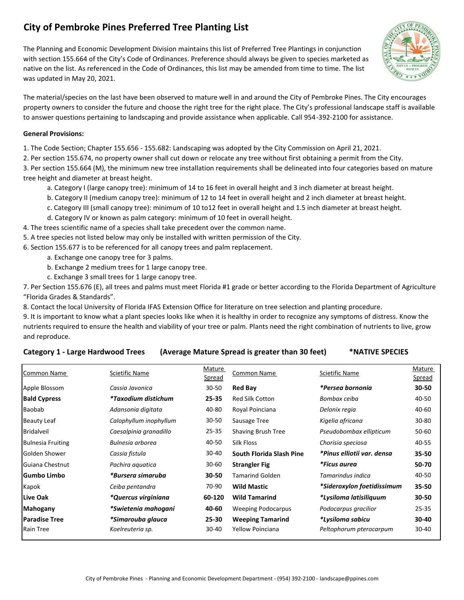# **City of Pembroke Pines Preferred Tree Planting List**

The Planning and Economic Development Division maintains this list of Preferred Tree Plantings in conjunction with section 155.664 of the City's Code of Ordinances. Preference should always be given to species marketed as native on the list. As referenced in the Code of Ordinances, this list may be amended from time to time. The list was updated in May 20, 2021.



The material/species on the last have been observed to mature well in and around the City of Pembroke Pines. The City encourages property owners to consider the future and choose the right tree for the right place. The City's professional landscape staff is available to answer questions pertaining to landscaping and provide assistance when applicable. Call 954‐392‐2100 for assistance.

### **General Provisions:**

1. The Code Section; Chapter 155.656 ‐ 155.682: Landscaping was adopted by the City Commission on April 21, 2021.

2. Per section 155.674, no property owner shall cut down or relocate any tree without first obtaining a permit from the City.

3. Per section 155.664 (M), the minimum new tree installation requirements shall be delineated into four categories based on mature tree height and diameter at breast height.

- a. Category I (large canopy tree): minimum of 14 to 16 feet in overall height and 3 inch diameter at breast height.
- b. Category II (medium canopy tree): minimum of 12 to 14 feet in overall height and 2 inch diameter at breast height.
- c. Category III (small canopy tree): minimum of 10 to12 feet in overall height and 1.5 inch diameter at breast height.
- d. Category IV or known as palm category: minimum of 10 feet in overall height.
- 4. The trees scientific name of a species shall take precedent over the common name.
- 5. A tree species not listed below may only be installed with written permission of the City.
- 6. Section 155.677 is to be referenced for all canopy trees and palm replacement.
	- a. Exchange one canopy tree for 3 palms.
	- b. Exchange 2 medium trees for 1 large canopy tree.
	- c. Exchange 3 small trees for 1 large canopy tree.

7. Per Section 155.676 (E), all trees and palms must meet Florida #1 grade or better according to the Florida Department of Agriculture "Florida Grades & Standards".

8. Contact the local University of Florida IFAS Extension Office for literature on tree selection and planting procedure.

9. It is important to know what a plant species looks like when it is healthy in order to recognize any symptoms of distress. Know the nutrients required to ensure the health and viability of your tree or palm. Plants need the right combination of nutrients to live, grow and reproduce.

## Category 1 - Large Hardwood Trees (Average Mature Spread is greater than 30 feet) \*NATIVE SPECIES

| <b>Common Name</b>       | Scietific Name             | Mature    | Common Name               | Scietific Name             | Mature    |
|--------------------------|----------------------------|-----------|---------------------------|----------------------------|-----------|
|                          |                            | Spread    |                           |                            | Spread    |
| Apple Blossom            | Cassia Javonica            | $30 - 50$ | <b>Red Bay</b>            | *Persea bornonia           | 30-50     |
| <b>Bald Cypress</b>      | <i>*Taxodium distichum</i> | 25-35     | <b>Red Silk Cotton</b>    | Bombax ceiba               | 40-50     |
| Baobab                   | Adansonia digitata         | 40-80     | Royal Poinciana           | Delonix regia              | 40-60     |
| <b>Beauty Leaf</b>       | Calophyllum inophyllum     | $30 - 50$ | Sausage Tree              | Kigelia africana           | $30 - 80$ |
| <b>Bridalveil</b>        | Caesalpinia granadillo     | $25 - 35$ | Shaving Brush Tree        | Pseudobombax ellipticum    | 50-60     |
| <b>Bulnesia Fruiting</b> | Bulnesia arborea           | 40-50     | Silk Floss                | Chorisia speciosa          | 40-55     |
| Golden Shower            | Cassia fistula             | $30 - 40$ | South Florida Slash Pine  | *Pinus elliotii var. densa | 35-50     |
| Guiana Chestnut          | Pachira aquatica           | $30 - 60$ | <b>Strangler Fig</b>      | *Ficus aurea               | 50-70     |
| lGumbo Limbo             | *Bursera simaruba          | $30 - 50$ | <b>Tamarind Golden</b>    | Tamarindus indica          | 40-50     |
| Kapok                    | Ceiba pentandra            | 70-90     | <b>Wild Mastic</b>        | *Sideroxylon foetidissimum | 35-50     |
| Live Oak                 | *Quercus virginiana        | 60-120    | <b>Wild Tamarind</b>      | *Lysiloma latisiliquum     | $30 - 50$ |
| Mahogany                 | *Swietenia mahogani        | 40-60     | <b>Weeping Podocarpus</b> | Podocarpus gracilior       | $25 - 35$ |
| <b>Paradise Tree</b>     | *Simarouba glauca          | 25-30     | <b>Weeping Tamarind</b>   | <i>*Lysiloma sabicu</i>    | 30-40     |
| Rain Tree                | Koelreuteria sp.           | $30 - 40$ | Yellow Poinciana          | Peltophorum pterocarpum    | 30-40     |